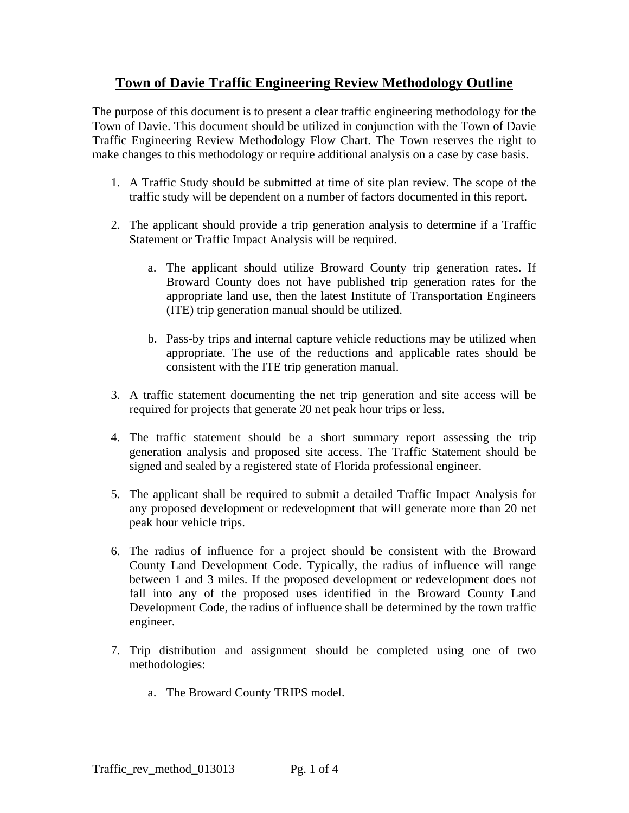## **Town of Davie Traffic Engineering Review Methodology Outline**

The purpose of this document is to present a clear traffic engineering methodology for the Town of Davie. This document should be utilized in conjunction with the Town of Davie Traffic Engineering Review Methodology Flow Chart. The Town reserves the right to make changes to this methodology or require additional analysis on a case by case basis.

- 1. A Traffic Study should be submitted at time of site plan review. The scope of the traffic study will be dependent on a number of factors documented in this report.
- 2. The applicant should provide a trip generation analysis to determine if a Traffic Statement or Traffic Impact Analysis will be required.
	- a. The applicant should utilize Broward County trip generation rates. If Broward County does not have published trip generation rates for the appropriate land use, then the latest Institute of Transportation Engineers (ITE) trip generation manual should be utilized.
	- b. Pass-by trips and internal capture vehicle reductions may be utilized when appropriate. The use of the reductions and applicable rates should be consistent with the ITE trip generation manual.
- 3. A traffic statement documenting the net trip generation and site access will be required for projects that generate 20 net peak hour trips or less.
- 4. The traffic statement should be a short summary report assessing the trip generation analysis and proposed site access. The Traffic Statement should be signed and sealed by a registered state of Florida professional engineer.
- 5. The applicant shall be required to submit a detailed Traffic Impact Analysis for any proposed development or redevelopment that will generate more than 20 net peak hour vehicle trips.
- 6. The radius of influence for a project should be consistent with the Broward County Land Development Code. Typically, the radius of influence will range between 1 and 3 miles. If the proposed development or redevelopment does not fall into any of the proposed uses identified in the Broward County Land Development Code, the radius of influence shall be determined by the town traffic engineer.
- 7. Trip distribution and assignment should be completed using one of two methodologies:
	- a. The Broward County TRIPS model.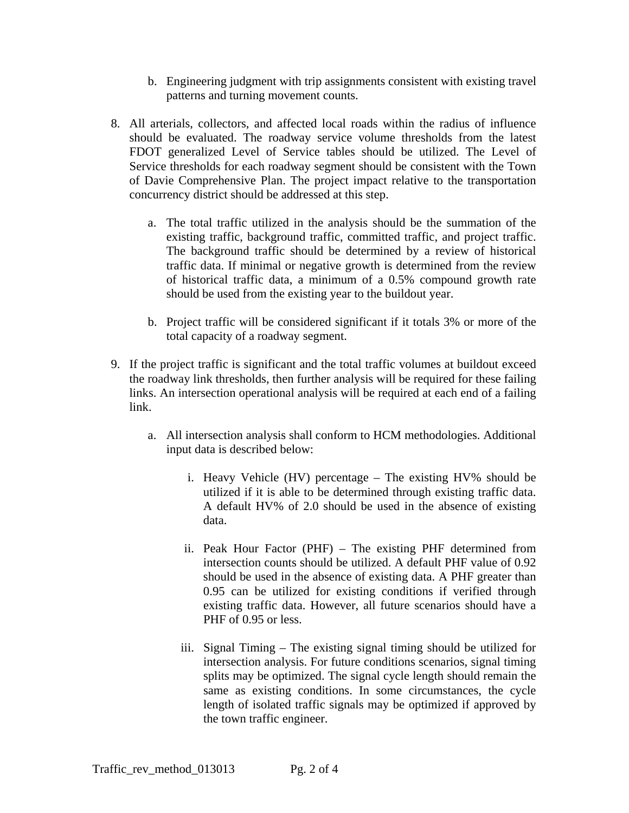- b. Engineering judgment with trip assignments consistent with existing travel patterns and turning movement counts.
- 8. All arterials, collectors, and affected local roads within the radius of influence should be evaluated. The roadway service volume thresholds from the latest FDOT generalized Level of Service tables should be utilized. The Level of Service thresholds for each roadway segment should be consistent with the Town of Davie Comprehensive Plan. The project impact relative to the transportation concurrency district should be addressed at this step.
	- a. The total traffic utilized in the analysis should be the summation of the existing traffic, background traffic, committed traffic, and project traffic. The background traffic should be determined by a review of historical traffic data. If minimal or negative growth is determined from the review of historical traffic data, a minimum of a 0.5% compound growth rate should be used from the existing year to the buildout year.
	- b. Project traffic will be considered significant if it totals 3% or more of the total capacity of a roadway segment.
- 9. If the project traffic is significant and the total traffic volumes at buildout exceed the roadway link thresholds, then further analysis will be required for these failing links. An intersection operational analysis will be required at each end of a failing link.
	- a. All intersection analysis shall conform to HCM methodologies. Additional input data is described below:
		- i. Heavy Vehicle (HV) percentage The existing HV% should be utilized if it is able to be determined through existing traffic data. A default HV% of 2.0 should be used in the absence of existing data.
		- ii. Peak Hour Factor (PHF) The existing PHF determined from intersection counts should be utilized. A default PHF value of 0.92 should be used in the absence of existing data. A PHF greater than 0.95 can be utilized for existing conditions if verified through existing traffic data. However, all future scenarios should have a PHF of 0.95 or less.
		- iii. Signal Timing The existing signal timing should be utilized for intersection analysis. For future conditions scenarios, signal timing splits may be optimized. The signal cycle length should remain the same as existing conditions. In some circumstances, the cycle length of isolated traffic signals may be optimized if approved by the town traffic engineer.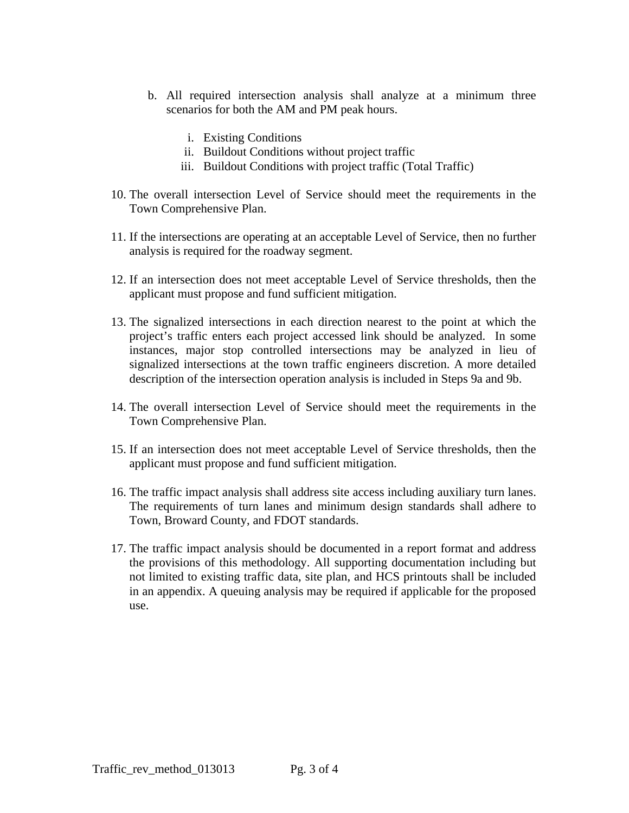- b. All required intersection analysis shall analyze at a minimum three scenarios for both the AM and PM peak hours.
	- i. Existing Conditions
	- ii. Buildout Conditions without project traffic
	- iii. Buildout Conditions with project traffic (Total Traffic)
- 10. The overall intersection Level of Service should meet the requirements in the Town Comprehensive Plan.
- 11. If the intersections are operating at an acceptable Level of Service, then no further analysis is required for the roadway segment.
- 12. If an intersection does not meet acceptable Level of Service thresholds, then the applicant must propose and fund sufficient mitigation.
- 13. The signalized intersections in each direction nearest to the point at which the project's traffic enters each project accessed link should be analyzed. In some instances, major stop controlled intersections may be analyzed in lieu of signalized intersections at the town traffic engineers discretion. A more detailed description of the intersection operation analysis is included in Steps 9a and 9b.
- 14. The overall intersection Level of Service should meet the requirements in the Town Comprehensive Plan.
- 15. If an intersection does not meet acceptable Level of Service thresholds, then the applicant must propose and fund sufficient mitigation.
- 16. The traffic impact analysis shall address site access including auxiliary turn lanes. The requirements of turn lanes and minimum design standards shall adhere to Town, Broward County, and FDOT standards.
- 17. The traffic impact analysis should be documented in a report format and address the provisions of this methodology. All supporting documentation including but not limited to existing traffic data, site plan, and HCS printouts shall be included in an appendix. A queuing analysis may be required if applicable for the proposed use.